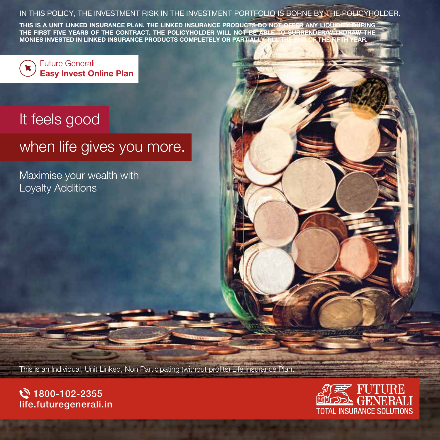### IN THIS POLICY, THE INVESTMENT RISK IN THE INVESTMENT PORTFOLIO IS BORNE BY THE POLICYHOLDER.

THIS IS A UNIT LINKED INSURANCE PLAN. THE LINKED INSURANCE PRODUCTS DO NOT OFFER ANY LIQUIDITY DURING THE FIRST FIVE YEARS OF THE CONTRACT. THE POLICYHOLDER WILL NOT BE ABLE TO SURRENDER/WITHDRAW THE MONIES INVESTED IN LINKED INSURANCE PRODUCTS COMPLETELY OR PARTIALLY TILL THE END OF THE FIFTH YEAR.



**Future Generali Easy Invest Online Plan** 

# It feels good

# when life gives you more.

Maximise your wealth with Loyalty Additions

This is an Individual, Unit Linked, Non Participating (without profits) Life Insurance Plan.



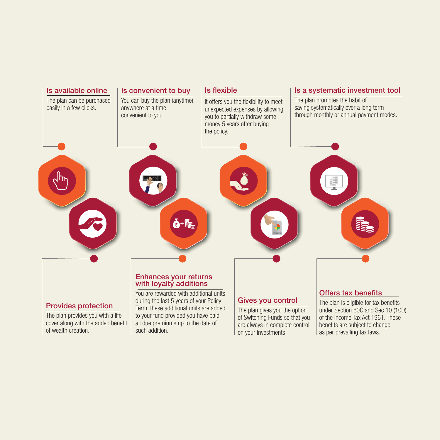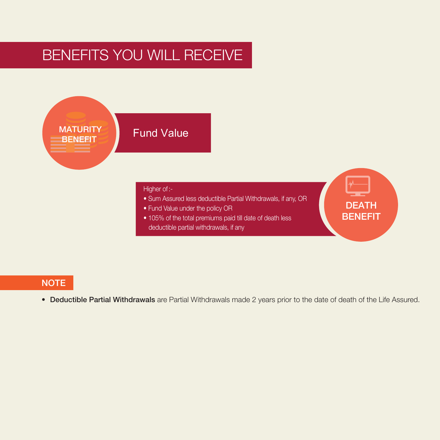# BENEFITS YOU WILL RECEIVE



# NOTE

• Deductible Partial Withdrawals are Partial Withdrawals made 2 years prior to the date of death of the Life Assured.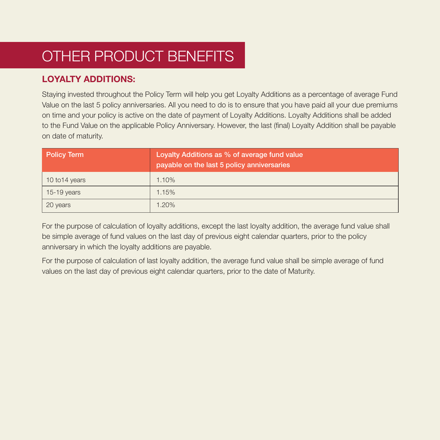# OTHER PRODUCT BENEFITS

# LOYALTY ADDITIONS:

Staying invested throughout the Policy Term will help you get Loyalty Additions as a percentage of average Fund Value on the last 5 policy anniversaries. All you need to do is to ensure that you have paid all your due premiums on time and your policy is active on the date of payment of Loyalty Additions. Loyalty Additions shall be added to the Fund Value on the applicable Policy Anniversary. However, the last (final) Loyalty Addition shall be payable on date of maturity.

| <b>Policy Term</b> | Loyalty Additions as $\%$ of average fund value<br>payable on the last 5 policy anniversaries |
|--------------------|-----------------------------------------------------------------------------------------------|
| 10 to 14 years     | 1.10%                                                                                         |
| $15-19$ years      | 1.15%                                                                                         |
| 20 years           | 1.20%                                                                                         |

For the purpose of calculation of loyalty additions, except the last loyalty addition, the average fund value shall be simple average of fund values on the last day of previous eight calendar quarters, prior to the policy anniversary in which the loyalty additions are payable.

For the purpose of calculation of last loyalty addition, the average fund value shall be simple average of fund values on the last day of previous eight calendar quarters, prior to the date of Maturity.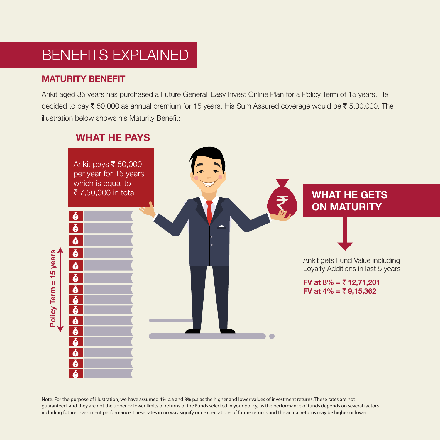# BENEFITS EXPLAINED

## MATURITY BENEFIT

Ankit aged 35 years has purchased a Future Generali Easy Invest Online Plan for a Policy Term of 15 years. He decided to pay  $\bar{\tau}$  50,000 as annual premium for 15 years. His Sum Assured coverage would be  $\bar{\tau}$  5,00,000. The illustration below shows his Maturity Benefit:



## WHAT HE PAYS

Note: For the purpose of illustration, we have assumed 4% p.a and 8% p.a as the higher and lower values of investment returns. These rates are not guaranteed, and they are not the upper or lower limits of returns of the Funds selected in your policy, as the performance of funds depends on several factors including future investment performance. These rates in no way signify our expectations of future returns and the actual returns may be higher or lower.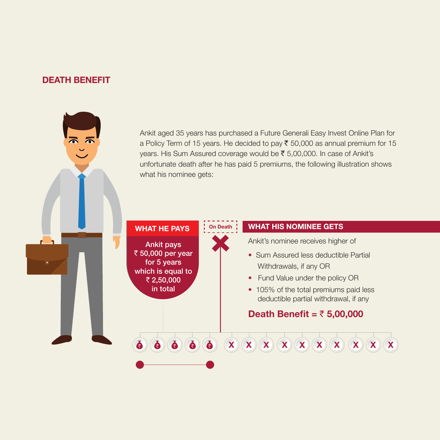## DEATH BENEFIT

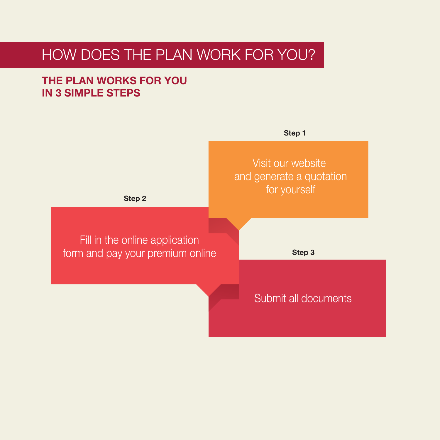# HOW DOES THE PLAN WORK FOR YOU?

# THE PLAN WORKS FOR YOU IN 3 SIMPLE STEPS

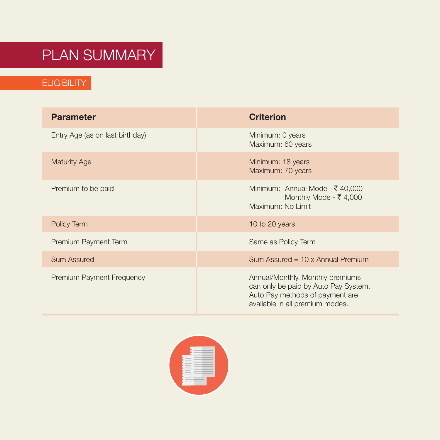# PLAN SUMMARY

# ELIGIBILITY

| <b>Parameter</b>                 | <b>Criterion</b>                                                                                                                               |
|----------------------------------|------------------------------------------------------------------------------------------------------------------------------------------------|
| Entry Age (as on last birthday)  | Minimum: 0 years<br>Maximum: 60 years                                                                                                          |
| <b>Maturity Age</b>              | Minimum: 18 years<br>Maximum: 70 years                                                                                                         |
| Premium to be paid               | Minimum: Annual Mode - ₹ 40,000<br>Monthly Mode - $\bar{\tau}$ 4,000<br>Maximum: No Limit                                                      |
| Policy Term                      | 10 to 20 years                                                                                                                                 |
| Premium Payment Term             | Same as Policy Term                                                                                                                            |
| <b>Sum Assured</b>               | Sum Assured = $10 \times$ Annual Premium                                                                                                       |
| <b>Premium Payment Frequency</b> | Annual/Monthly. Monthly premiums<br>can only be paid by Auto Pay System.<br>Auto Pay methods of payment are<br>available in all premium modes. |

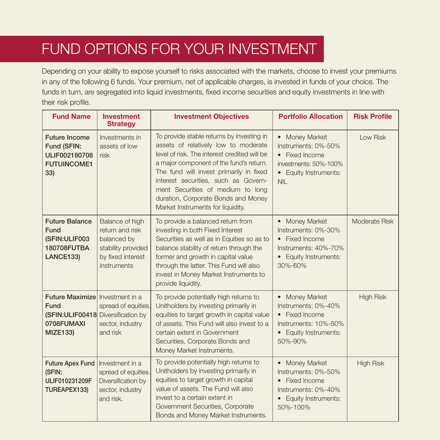# FUND OPTIONS FOR YOUR INVESTMENT

Depending on your ability to expose yourself to risks associated with the markets, choose to invest your premiums in any of the following 6 funds. Your premium, net of applicable charges, is invested in funds of your choice. The funds in turn, are segregated into liquid investments, fixed income securities and equity investments in line with their risk profile.

| <b>Fund Name</b>                                                                                                             | <b>Investment</b><br><b>Strategy</b>                                                                        | <b>Investment Objectives</b>                                                                                                                                                                                                                                                                                                                                                     | <b>Portfolio Allocation</b>                                                                                                               | <b>Risk Profile</b> |
|------------------------------------------------------------------------------------------------------------------------------|-------------------------------------------------------------------------------------------------------------|----------------------------------------------------------------------------------------------------------------------------------------------------------------------------------------------------------------------------------------------------------------------------------------------------------------------------------------------------------------------------------|-------------------------------------------------------------------------------------------------------------------------------------------|---------------------|
| <b>Future Income</b><br>Fund (SFIN:<br>ULIF002180708<br><b>FUTUINCOME1</b><br>33)                                            | Investments in<br>assets of low<br>risk                                                                     | To provide stable returns by investing in<br>assets of relatively low to moderate<br>level of risk. The interest credited will be<br>a major component of the fund's return.<br>The fund will invest primarily in fixed<br>interest securities, such as Govern-<br>ment Securities of medium to long<br>duration, Corporate Bonds and Money<br>Market Instruments for liquidity. | <b>Money Market</b><br>$\bullet$<br>Instruments: 0%-50%<br>• Fixed Income<br>investments: 50%-100%<br>• Equity Instruments:<br><b>NIL</b> | Low Risk            |
| <b>Future Balance</b><br>Fund<br>(SFIN:ULIF003<br>180708FUTBA<br>LANCE133)                                                   | Balance of high<br>return and risk<br>balanced by<br>stability provided<br>by fixed interest<br>instruments | To provide a balanced return from<br>investing in both Fixed Interest<br>Securities as well as in Equities so as to<br>balance stability of return through the<br>former and growth in capital value<br>through the latter. This Fund will also<br>invest in Money Market Instruments to<br>provide liquidity.                                                                   | <b>Money Market</b><br>Instruments: 0%-30%<br><b>Fixed Income</b><br>$\bullet$<br>Instruments: 40%-70%<br>Equity Instruments:<br>30%-60%  | Moderate Risk       |
| <b>Future Maximize</b> Investment in a<br><b>Fund</b><br>(SFIN:ULIF00418 Diversification by<br>0708FUMAXI<br><b>MIZE133)</b> | spread of equities.<br>sector, industry<br>and risk                                                         | To provide potentially high returns to<br>Unitholders by investing primarily in<br>equities to target growth in capital value<br>of assets. This Fund will also invest to a<br>certain extent in Government<br>Securities, Corporate Bonds and<br>Money Market Instruments.                                                                                                      | <b>Money Market</b><br>$\bullet$<br>Instruments: 0%-40%<br>• Fixed Income<br>Instruments: 10%-50%<br>• Equity Instruments:<br>50%-90%     | <b>High Risk</b>    |
| <b>Future Apex Fund</b><br>(SFIN:<br>ULIF010231209F<br>TUREAPEX133)                                                          | Investment in a<br>spread of equities.<br>Diversification by<br>sector, industry<br>and risk.               | To provide potentially high returns to<br>Unitholders by investing primarily in<br>equities to target growth in capital<br>value of assets. The Fund will also<br>invest to a certain extent in<br>Government Securities, Corporate<br>Bonds and Money Market Instruments.                                                                                                       | <b>Money Market</b><br>Instruments: 0%-50%<br><b>Fixed Income</b><br>$\bullet$<br>Instruments: 0%-40%<br>Equity Instruments:<br>50%-100%  | <b>High Risk</b>    |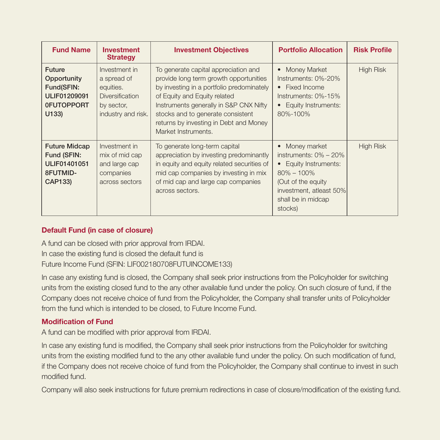| <b>Fund Name</b>                                                                                | <b>Investment</b><br><b>Strategy</b>                                                                    | <b>Investment Objectives</b>                                                                                                                                                                                                                                                                                | <b>Portfolio Allocation</b>                                                                                                                                             | <b>Risk Profile</b> |
|-------------------------------------------------------------------------------------------------|---------------------------------------------------------------------------------------------------------|-------------------------------------------------------------------------------------------------------------------------------------------------------------------------------------------------------------------------------------------------------------------------------------------------------------|-------------------------------------------------------------------------------------------------------------------------------------------------------------------------|---------------------|
| <b>Future</b><br>Opportunity<br>Fund(SFIN:<br><b>ULIF01209091</b><br><b>OFUTOPPORT</b><br>U133) | Investment in<br>a spread of<br>equities.<br><b>Diversification</b><br>by sector,<br>industry and risk. | To generate capital appreciation and<br>provide long term growth opportunities<br>by investing in a portfolio predominately<br>of Equity and Equity related<br>Instruments generally in S&P CNX Nifty<br>stocks and to generate consistent<br>returns by investing in Debt and Money<br>Market Instruments. | <b>Money Market</b><br>Instruments: 0%-20%<br>• Fixed Income<br>Instruments: 0%-15%<br>• Equity Instruments:<br>80%-100%                                                | <b>High Risk</b>    |
| <b>Future Midcap</b><br>Fund (SFIN:<br>ULIF01401051<br>8FUTMID-<br><b>CAP133)</b>               | Investment in<br>mix of mid cap<br>and large cap<br>companies<br>across sectors                         | To generate long-term capital<br>appreciation by investing predominantly<br>in equity and equity related securities of<br>mid cap companies by investing in mix<br>of mid cap and large cap companies<br>across sectors.                                                                                    | Money market<br>instruments: $0\% - 20\%$<br>• Equity Instruments:<br>$80\% - 100\%$<br>(Out of the equity)<br>investment, atleast 50%<br>shall be in midcap<br>stocks) | <b>High Risk</b>    |

### Default Fund (in case of closure)

A fund can be closed with prior approval from IRDAI. In case the existing fund is closed the default fund is Future Income Fund (SFIN: LIF002180708FUTUINCOME133)

In case any existing fund is closed, the Company shall seek prior instructions from the Policyholder for switching units from the existing closed fund to the any other available fund under the policy. On such closure of fund, if the Company does not receive choice of fund from the Policyholder, the Company shall transfer units of Policyholder from the fund which is intended to be closed, to Future Income Fund.

### Modification of Fund

A fund can be modified with prior approval from IRDAI.

In case any existing fund is modified, the Company shall seek prior instructions from the Policyholder for switching units from the existing modified fund to the any other available fund under the policy. On such modification of fund, if the Company does not receive choice of fund from the Policyholder, the Company shall continue to invest in such modified fund

Company will also seek instructions for future premium redirections in case of closure/modification of the existing fund.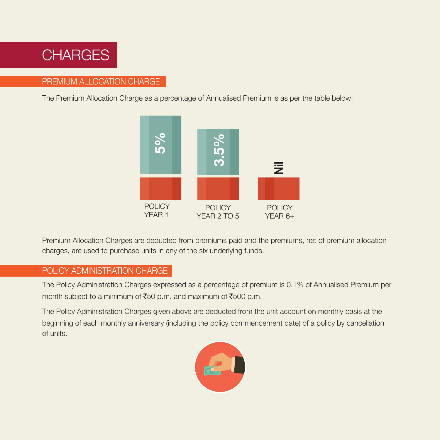

## PREMIUM ALLOCATION CHARGE

The Premium Allocation Charge as a percentage of Annualised Premium is as per the table below:



Premium Allocation Charges are deducted from premiums paid and the premiums, net of premium allocation charges, are used to purchase units in any of the six underlying funds.

## POLICY ADMINISTRATION CHARGE

The Policy Administration Charges expressed as a percentage of premium is 0.1% of Annualised Premium per month subject to a minimum of  $\text{\texttt{F50}}$  p.m. and maximum of  $\text{\texttt{F500}}$  p.m.

The Policy Administration Charges given above are deducted from the unit account on monthly basis at the beginning of each monthly anniversary (including the policy commencement date) of a policy by cancellation of units.

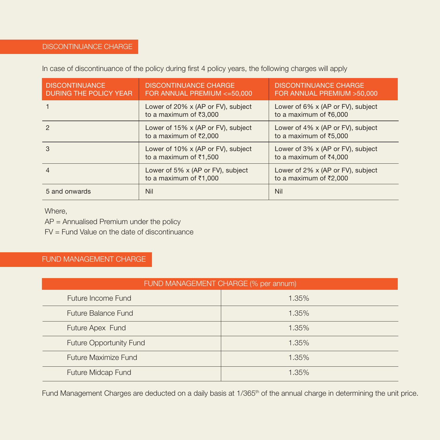## DISCONTINUANCE CHARGE

|  | In case of discontinuance of the policy during first 4 policy years, the following charges will apply |  |
|--|-------------------------------------------------------------------------------------------------------|--|
|--|-------------------------------------------------------------------------------------------------------|--|

| <b>DISCONTINUANCE</b><br><b>DURING THE POLICY YEAR</b> | <b>DISCONTINUANCE CHARGE</b><br>FOR ANNUAL PREMIUM <= 50,000           | <b>DISCONTINUANCE CHARGE</b><br>FOR ANNUAL PREMIUM >50,000            |
|--------------------------------------------------------|------------------------------------------------------------------------|-----------------------------------------------------------------------|
|                                                        | Lower of 20% x (AP or FV), subject<br>to a maximum of $\bar{z}3,000$   | Lower of 6% x (AP or FV), subject<br>to a maximum of ₹6,000           |
|                                                        | Lower of 15% x (AP or FV), subject<br>to a maximum of $\bar{\xi}2,000$ | Lower of $4\%$ x (AP or FV), subject<br>to a maximum of ₹5,000        |
| 3                                                      | Lower of 10% x (AP or FV), subject<br>to a maximum of $\bar{z}$ 1,500  | Lower of 3% x (AP or FV), subject<br>to a maximum of $\bar{z}4,000$   |
|                                                        | Lower of 5% x (AP or FV), subject<br>to a maximum of $\bar{z}$ 1,000   | Lower of 2% x (AP or FV), subject<br>to a maximum of $\bar{\xi}2,000$ |
| 5 and onwards                                          | <b>Nil</b>                                                             | <b>Nil</b>                                                            |

Where,

AP = Annualised Premium under the policy

FV = Fund Value on the date of discontinuance

# FUND MANAGEMENT CHARGE

| FUND MANAGEMENT CHARGE (% per annum) |       |  |
|--------------------------------------|-------|--|
| Future Income Fund                   | 1.35% |  |
| <b>Future Balance Fund</b>           | 1.35% |  |
| Future Apex Fund                     | 1.35% |  |
| <b>Future Opportunity Fund</b>       | 1.35% |  |
| <b>Future Maximize Fund</b>          | 1.35% |  |
| <b>Future Midcap Fund</b>            | 1.35% |  |

Fund Management Charges are deducted on a daily basis at 1/365<sup>th</sup> of the annual charge in determining the unit price.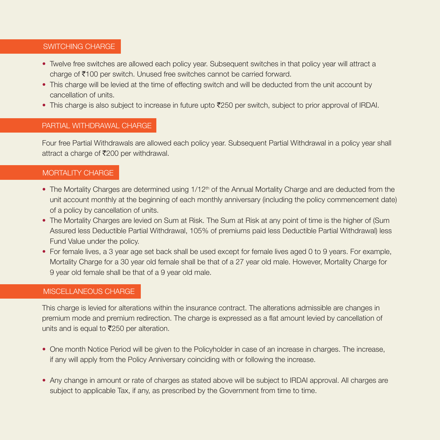### SWITCHING CHARGE

- Twelve free switches are allowed each policy year. Subsequent switches in that policy year will attract a charge of  $\bar{\tau}$ 100 per switch. Unused free switches cannot be carried forward.
- This charge will be levied at the time of effecting switch and will be deducted from the unit account by cancellation of units.
- This charge is also subject to increase in future upto  $\overline{2}250$  per switch, subject to prior approval of IRDAI.

### PARTIAL WITHDRAWAL CHARGE

Four free Partial Withdrawals are allowed each policy year. Subsequent Partial Withdrawal in a policy year shall attract a charge of  $\bar{\mathfrak{r}}$ 200 per withdrawal.

### MORTALITY CHARGE

- The Mortality Charges are determined using 1/12<sup>th</sup> of the Annual Mortality Charge and are deducted from the unit account monthly at the beginning of each monthly anniversary (including the policy commencement date) of a policy by cancellation of units.
- The Mortality Charges are levied on Sum at Risk. The Sum at Risk at any point of time is the higher of (Sum Assured less Deductible Partial Withdrawal, 105% of premiums paid less Deductible Partial Withdrawal) less Fund Value under the policy.
- For female lives, a 3 year age set back shall be used except for female lives aged 0 to 9 years. For example, Mortality Charge for a 30 year old female shall be that of a 27 year old male. However, Mortality Charge for 9 year old female shall be that of a 9 year old male.

### MISCELLANEOUS CHARGE

This charge is levied for alterations within the insurance contract. The alterations admissible are changes in premium mode and premium redirection. The charge is expressed as a flat amount levied by cancellation of units and is equal to  $\bar{\mathfrak{Z}}250$  per alteration.

- One month Notice Period will be given to the Policyholder in case of an increase in charges. The increase, if any will apply from the Policy Anniversary coinciding with or following the increase.
- Any change in amount or rate of charges as stated above will be subject to IRDAI approval. All charges are subject to applicable Tax, if any, as prescribed by the Government from time to time.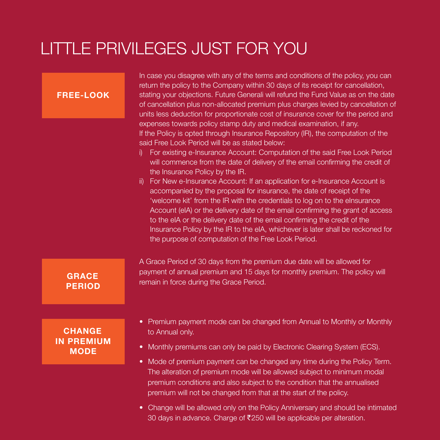# LITTLE PRIVILEGES JUST FOR YOU

| <b>FREE-LOOK</b>                                  | In case you disagree with any of the terms and conditions of the policy, you can<br>return the policy to the Company within 30 days of its receipt for cancellation,<br>stating your objections. Future Generali will refund the Fund Value as on the date<br>of cancellation plus non-allocated premium plus charges levied by cancellation of<br>units less deduction for proportionate cost of insurance cover for the period and<br>expenses towards policy stamp duty and medical examination, if any.<br>If the Policy is opted through Insurance Repository (IR), the computation of the<br>said Free Look Period will be as stated below:<br>For existing e-Insurance Account: Computation of the said Free Look Period<br>i)<br>will commence from the date of delivery of the email confirming the credit of<br>the Insurance Policy by the IR.<br>For New e-Insurance Account: If an application for e-Insurance Account is<br>ii)<br>accompanied by the proposal for insurance, the date of receipt of the<br>'welcome kit' from the IR with the credentials to log on to the elnsurance<br>Account (eIA) or the delivery date of the email confirming the grant of access<br>to the eIA or the delivery date of the email confirming the credit of the<br>Insurance Policy by the IR to the eIA, whichever is later shall be reckoned for<br>the purpose of computation of the Free Look Period. |
|---------------------------------------------------|---------------------------------------------------------------------------------------------------------------------------------------------------------------------------------------------------------------------------------------------------------------------------------------------------------------------------------------------------------------------------------------------------------------------------------------------------------------------------------------------------------------------------------------------------------------------------------------------------------------------------------------------------------------------------------------------------------------------------------------------------------------------------------------------------------------------------------------------------------------------------------------------------------------------------------------------------------------------------------------------------------------------------------------------------------------------------------------------------------------------------------------------------------------------------------------------------------------------------------------------------------------------------------------------------------------------------------------------------------------------------------------------------------------|
| <b>GRACE</b><br><b>PERIOD</b>                     | A Grace Period of 30 days from the premium due date will be allowed for<br>payment of annual premium and 15 days for monthly premium. The policy will<br>remain in force during the Grace Period.                                                                                                                                                                                                                                                                                                                                                                                                                                                                                                                                                                                                                                                                                                                                                                                                                                                                                                                                                                                                                                                                                                                                                                                                             |
| <b>CHANGE</b><br><b>IN PREMIUM</b><br><b>MODE</b> | • Premium payment mode can be changed from Annual to Monthly or Monthly<br>to Annual only.<br>Monthly premiums can only be paid by Electronic Clearing System (ECS).<br>$\bullet$<br>• Mode of premium payment can be changed any time during the Policy Term.<br>The alteration of premium mode will be allowed subject to minimum modal                                                                                                                                                                                                                                                                                                                                                                                                                                                                                                                                                                                                                                                                                                                                                                                                                                                                                                                                                                                                                                                                     |

• Change will be allowed only on the Policy Anniversary and should be intimated 30 days in advance. Charge of  $\bar{\mathfrak{e}}$  250 will be applicable per alteration.

premium conditions and also subject to the condition that the annualised

premium will not be changed from that at the start of the policy.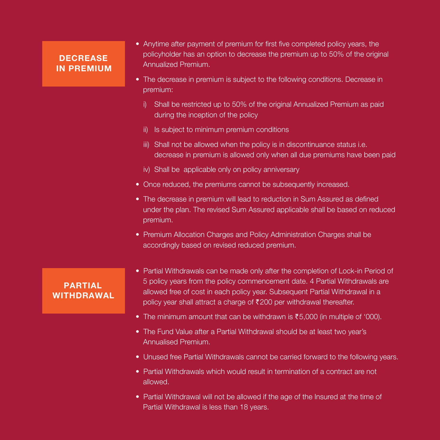## **DECREASE** IN PREMIUM

- Anytime after payment of premium for first five completed policy years, the policyholder has an option to decrease the premium up to 50% of the original Annualized Premium.
- The decrease in premium is subject to the following conditions. Decrease in premium:
	- i) Shall be restricted up to 50% of the original Annualized Premium as paid during the inception of the policy
	- ii) Is subject to minimum premium conditions
	- iii) Shall not be allowed when the policy is in discontinuance status i.e. decrease in premium is allowed only when all due premiums have been paid
	- iv) Shall be applicable only on policy anniversary
- Once reduced, the premiums cannot be subsequently increased.
- The decrease in premium will lead to reduction in Sum Assured as defined under the plan. The revised Sum Assured applicable shall be based on reduced premium.
- Premium Allocation Charges and Policy Administration Charges shall be accordingly based on revised reduced premium.

## PARTIAL WITHDRAWAL

- Partial Withdrawals can be made only after the completion of Lock-in Period of 5 policy years from the policy commencement date. 4 Partial Withdrawals are allowed free of cost in each policy year. Subsequent Partial Withdrawal in a policy year shall attract a charge of  $\bar{\tau}$ 200 per withdrawal thereafter.
- The minimum amount that can be withdrawn is  $\overline{55,000}$  (in multiple of '000).
- The Fund Value after a Partial Withdrawal should be at least two year's Annualised Premium.
- Unused free Partial Withdrawals cannot be carried forward to the following years.
- Partial Withdrawals which would result in termination of a contract are not allowed.
- Partial Withdrawal will not be allowed if the age of the Insured at the time of Partial Withdrawal is less than 18 years.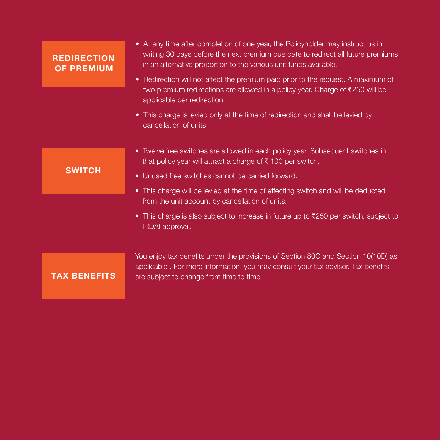| <b>REDIRECTION</b><br><b>OF PREMIUM</b> | • At any time after completion of one year, the Policyholder may instruct us in<br>writing 30 days before the next premium due date to redirect all future premiums<br>in an alternative proportion to the various unit funds available. |
|-----------------------------------------|------------------------------------------------------------------------------------------------------------------------------------------------------------------------------------------------------------------------------------------|
|                                         | • Redirection will not affect the premium paid prior to the request. A maximum of<br>two premium redirections are allowed in a policy year. Charge of ₹250 will be<br>applicable per redirection.                                        |
|                                         | • This charge is levied only at the time of redirection and shall be levied by<br>cancellation of units.                                                                                                                                 |
| <b>SWITCH</b>                           | • Twelve free switches are allowed in each policy year. Subsequent switches in<br>that policy year will attract a charge of $\bar{\tau}$ 100 per switch.                                                                                 |
|                                         | • Unused free switches cannot be carried forward.<br>• This charge will be levied at the time of effecting switch and will be deducted                                                                                                   |
|                                         | from the unit account by cancellation of units.                                                                                                                                                                                          |
|                                         | • This charge is also subject to increase in future up to $\bar{\tau}$ 250 per switch, subject to<br>IRDAI approval.                                                                                                                     |
|                                         | You enjoy tax benefits under the provisions of Section 80C and Section 10(10D) as                                                                                                                                                        |
| <b>TAX BENEFITS</b>                     | applicable. For more information, you may consult your tax advisor. Tax benefits<br>are subject to change from time to time                                                                                                              |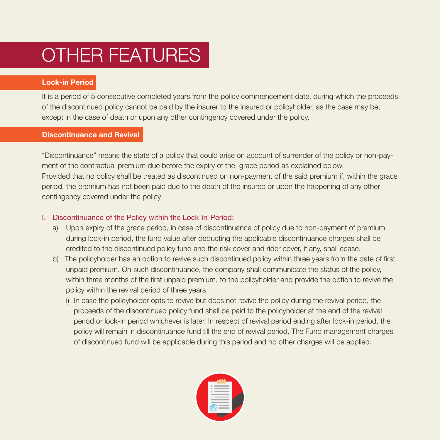# OTHER FEATURES

### Lock-in Period

It is a period of 5 consecutive completed years from the policy commencement date, during which the proceeds of the discontinued policy cannot be paid by the insurer to the insured or policyholder, as the case may be, except in the case of death or upon any other contingency covered under the policy.

### Discontinuance and Revival

"Discontinuance" means the state of a policy that could arise on account of surrender of the policy or non-payment of the contractual premium due before the expiry of the grace period as explained below. Provided that no policy shall be treated as discontinued on non-payment of the said premium if, within the grace period, the premium has not been paid due to the death of the insured or upon the happening of any other contingency covered under the policy

### I. Discontinuance of the Policy within the Lock-in-Period:

- a) Upon expiry of the grace period, in case of discontinuance of policy due to non-payment of premium during lock-in period, the fund value after deducting the applicable discontinuance charges shall be credited to the discontinued policy fund and the risk cover and rider cover, if any, shall cease.
- b) The policyholder has an option to revive such discontinued policy within three years from the date of first unpaid premium. On such discontinuance, the company shall communicate the status of the policy, within three months of the first unpaid premium, to the policyholder and provide the option to revive the policy within the revival period of three years.
	- i) In case the policyholder opts to revive but does not revive the policy during the revival period, the proceeds of the discontinued policy fund shall be paid to the policyholder at the end of the revival period or lock-in period whichever is later. In respect of revival period ending after lock-in period, the policy will remain in discontinuance fund till the end of revival period. The Fund management charges of discontinued fund will be applicable during this period and no other charges will be applied.

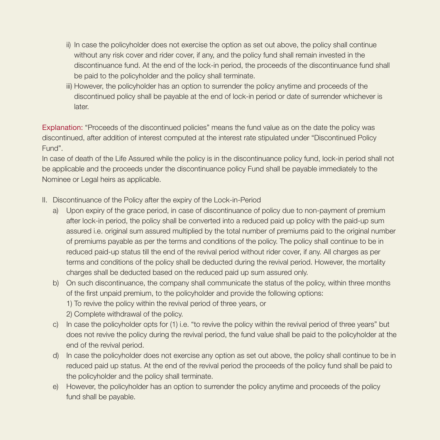- ii) In case the policyholder does not exercise the option as set out above, the policy shall continue without any risk cover and rider cover, if any, and the policy fund shall remain invested in the discontinuance fund. At the end of the lock-in period, the proceeds of the discontinuance fund shall be paid to the policyholder and the policy shall terminate.
- iii) However, the policyholder has an option to surrender the policy anytime and proceeds of the discontinued policy shall be payable at the end of lock-in period or date of surrender whichever is **later**

Explanation: "Proceeds of the discontinued policies" means the fund value as on the date the policy was discontinued, after addition of interest computed at the interest rate stipulated under "Discontinued Policy Fund".

In case of death of the Life Assured while the policy is in the discontinuance policy fund, lock-in period shall not be applicable and the proceeds under the discontinuance policy Fund shall be payable immediately to the Nominee or Legal heirs as applicable.

- II. Discontinuance of the Policy after the expiry of the Lock-in-Period
	- a) Upon expiry of the grace period, in case of discontinuance of policy due to non-payment of premium after lock-in period, the policy shall be converted into a reduced paid up policy with the paid-up sum assured i.e. original sum assured multiplied by the total number of premiums paid to the original number of premiums payable as per the terms and conditions of the policy. The policy shall continue to be in reduced paid-up status till the end of the revival period without rider cover, if any. All charges as per terms and conditions of the policy shall be deducted during the revival period. However, the mortality charges shall be deducted based on the reduced paid up sum assured only.
	- b) On such discontinuance, the company shall communicate the status of the policy, within three months of the first unpaid premium, to the policyholder and provide the following options:
		- 1) To revive the policy within the revival period of three years, or
		- 2) Complete withdrawal of the policy.
	- c) In case the policyholder opts for (1) i.e. "to revive the policy within the revival period of three years" but does not revive the policy during the revival period, the fund value shall be paid to the policyholder at the end of the revival period.
	- d) In case the policyholder does not exercise any option as set out above, the policy shall continue to be in reduced paid up status. At the end of the revival period the proceeds of the policy fund shall be paid to the policyholder and the policy shall terminate.
	- e) However, the policyholder has an option to surrender the policy anytime and proceeds of the policy fund shall be payable.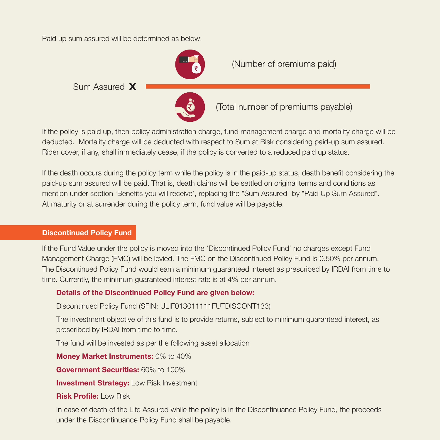Paid up sum assured will be determined as below:



If the policy is paid up, then policy administration charge, fund management charge and mortality charge will be deducted. Mortality charge will be deducted with respect to Sum at Risk considering paid-up sum assured. Rider cover, if any, shall immediately cease, if the policy is converted to a reduced paid up status.

If the death occurs during the policy term while the policy is in the paid-up status, death benefit considering the paid-up sum assured will be paid. That is, death claims will be settled on original terms and conditions as mention under section 'Benefits you will receive', replacing the "Sum Assured" by "Paid Up Sum Assured". At maturity or at surrender during the policy term, fund value will be payable.

### Discontinued Policy Fund

If the Fund Value under the policy is moved into the 'Discontinued Policy Fund' no charges except Fund Management Charge (FMC) will be levied. The FMC on the Discontinued Policy Fund is 0.50% per annum. The Discontinued Policy Fund would earn a minimum guaranteed interest as prescribed by IRDAI from time to time. Currently, the minimum guaranteed interest rate is at 4% per annum.

### Details of the Discontinued Policy Fund are given below:

Discontinued Policy Fund (SFIN: ULIF013011111FUTDISCONT133)

 The investment objective of this fund is to provide returns, subject to minimum guaranteed interest, as prescribed by IRDAI from time to time.

The fund will be invested as per the following asset allocation

Money Market Instruments: 0% to 40%

Government Securities: 60% to 100%

**Investment Strategy: Low Risk Investment** 

### Risk Profile: Low Risk

In case of death of the Life Assured while the policy is in the Discontinuance Policy Fund, the proceeds under the Discontinuance Policy Fund shall be payable.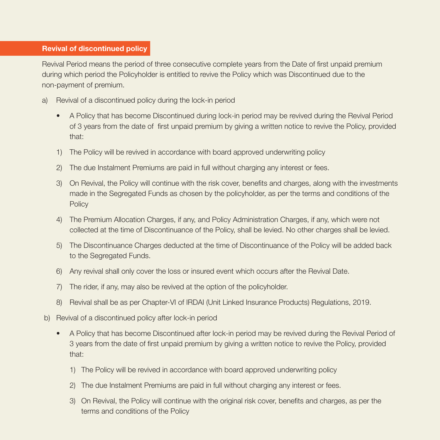#### Revival of discontinued policy

Revival Period means the period of three consecutive complete years from the Date of first unpaid premium during which period the Policyholder is entitled to revive the Policy which was Discontinued due to the non-payment of premium.

- a) Revival of a discontinued policy during the lock-in period
	- A Policy that has become Discontinued during lock-in period may be revived during the Revival Period of 3 years from the date of first unpaid premium by giving a written notice to revive the Policy, provided that:
	- 1) The Policy will be revived in accordance with board approved underwriting policy
	- 2) The due Instalment Premiums are paid in full without charging any interest or fees.
	- 3) On Revival, the Policy will continue with the risk cover, benefits and charges, along with the investments made in the Segregated Funds as chosen by the policyholder, as per the terms and conditions of the **Policy**
	- 4) The Premium Allocation Charges, if any, and Policy Administration Charges, if any, which were not collected at the time of Discontinuance of the Policy, shall be levied. No other charges shall be levied.
	- 5) The Discontinuance Charges deducted at the time of Discontinuance of the Policy will be added back to the Segregated Funds.
	- 6) Any revival shall only cover the loss or insured event which occurs after the Revival Date.
	- 7) The rider, if any, may also be revived at the option of the policyholder.
	- 8) Revival shall be as per Chapter-VI of IRDAI (Unit Linked Insurance Products) Regulations, 2019.
- b) Revival of a discontinued policy after lock-in period
	- A Policy that has become Discontinued after lock-in period may be revived during the Revival Period of 3 years from the date of first unpaid premium by giving a written notice to revive the Policy, provided that:
		- 1) The Policy will be revived in accordance with board approved underwriting policy
		- 2) The due Instalment Premiums are paid in full without charging any interest or fees.
		- 3) On Revival, the Policy will continue with the original risk cover, benefits and charges, as per the terms and conditions of the Policy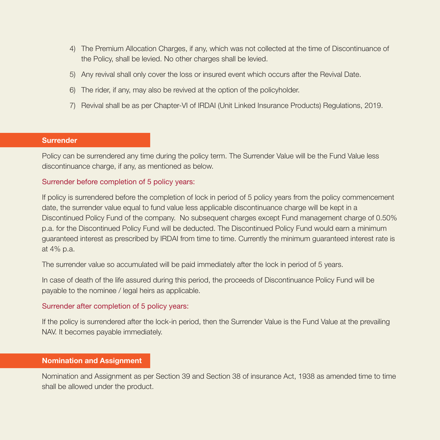- 4) The Premium Allocation Charges, if any, which was not collected at the time of Discontinuance of the Policy, shall be levied. No other charges shall be levied.
- 5) Any revival shall only cover the loss or insured event which occurs after the Revival Date.
- 6) The rider, if any, may also be revived at the option of the policyholder.
- 7) Revival shall be as per Chapter-VI of IRDAI (Unit Linked Insurance Products) Regulations, 2019.

#### **Surrender**

Policy can be surrendered any time during the policy term. The Surrender Value will be the Fund Value less discontinuance charge, if any, as mentioned as below.

### Surrender before completion of 5 policy years:

If policy is surrendered before the completion of lock in period of 5 policy years from the policy commencement date, the surrender value equal to fund value less applicable discontinuance charge will be kept in a Discontinued Policy Fund of the company. No subsequent charges except Fund management charge of 0.50% p.a. for the Discontinued Policy Fund will be deducted. The Discontinued Policy Fund would earn a minimum guaranteed interest as prescribed by IRDAI from time to time. Currently the minimum guaranteed interest rate is at 4% p.a.

The surrender value so accumulated will be paid immediately after the lock in period of 5 years.

In case of death of the life assured during this period, the proceeds of Discontinuance Policy Fund will be payable to the nominee / legal heirs as applicable.

### Surrender after completion of 5 policy years:

If the policy is surrendered after the lock-in period, then the Surrender Value is the Fund Value at the prevailing NAV. It becomes payable immediately.

#### Nomination and Assignment

Nomination and Assignment as per Section 39 and Section 38 of insurance Act, 1938 as amended time to time shall be allowed under the product.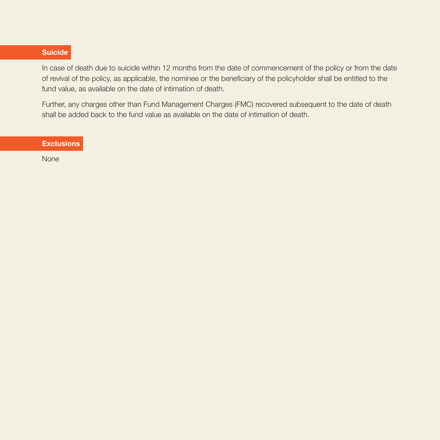### Suicide

In case of death due to suicide within 12 months from the date of commencement of the policy or from the date of revival of the policy, as applicable, the nominee or the beneficiary of the policyholder shall be entitled to the fund value, as available on the date of intimation of death.

Further, any charges other than Fund Management Charges (FMC) recovered subsequent to the date of death shall be added back to the fund value as available on the date of intimation of death.

**Exclusions** 

None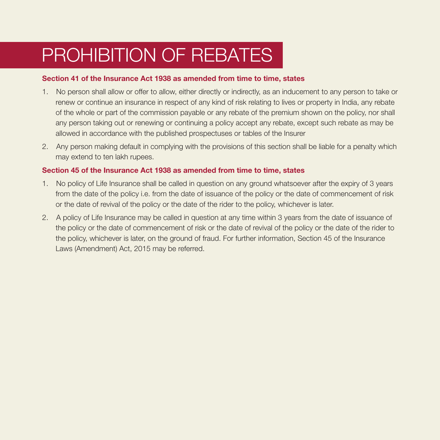# PROHIBITION OF REBATES

#### Section 41 of the Insurance Act 1938 as amended from time to time, states

- 1. No person shall allow or offer to allow, either directly or indirectly, as an inducement to any person to take or renew or continue an insurance in respect of any kind of risk relating to lives or property in India, any rebate of the whole or part of the commission payable or any rebate of the premium shown on the policy, nor shall any person taking out or renewing or continuing a policy accept any rebate, except such rebate as may be allowed in accordance with the published prospectuses or tables of the Insurer
- 2. Any person making default in complying with the provisions of this section shall be liable for a penalty which may extend to ten lakh rupees.

### Section 45 of the Insurance Act 1938 as amended from time to time, states

- 1. No policy of Life Insurance shall be called in question on any ground whatsoever after the expiry of 3 years from the date of the policy i.e. from the date of issuance of the policy or the date of commencement of risk or the date of revival of the policy or the date of the rider to the policy, whichever is later.
- 2. A policy of Life Insurance may be called in question at any time within 3 years from the date of issuance of the policy or the date of commencement of risk or the date of revival of the policy or the date of the rider to the policy, whichever is later, on the ground of fraud. For further information, Section 45 of the Insurance Laws (Amendment) Act, 2015 may be referred.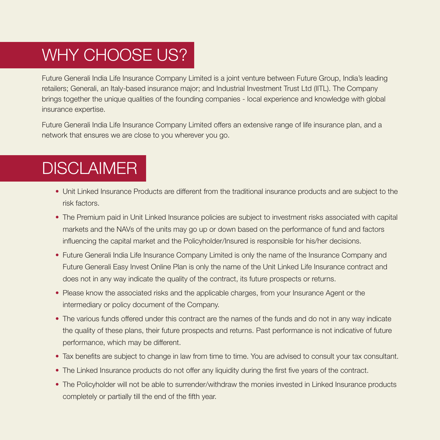# WHY CHOOSE US?

Future Generali India Life Insurance Company Limited is a joint venture between Future Group, India's leading retailers; Generali, an Italy-based insurance major; and Industrial Investment Trust Ltd (IITL). The Company brings together the unique qualities of the founding companies - local experience and knowledge with global insurance expertise.

Future Generali India Life Insurance Company Limited offers an extensive range of life insurance plan, and a network that ensures we are close to you wherever you go.

# **DISCLAIMER**

- Unit Linked Insurance Products are different from the traditional insurance products and are subject to the risk factors.
- The Premium paid in Unit Linked Insurance policies are subject to investment risks associated with capital markets and the NAVs of the units may go up or down based on the performance of fund and factors influencing the capital market and the Policyholder/Insured is responsible for his/her decisions.
- Future Generali India Life Insurance Company Limited is only the name of the Insurance Company and Future Generali Easy Invest Online Plan is only the name of the Unit Linked Life Insurance contract and does not in any way indicate the quality of the contract, its future prospects or returns.
- Please know the associated risks and the applicable charges, from your Insurance Agent or the intermediary or policy document of the Company.
- The various funds offered under this contract are the names of the funds and do not in any way indicate the quality of these plans, their future prospects and returns. Past performance is not indicative of future performance, which may be different.
- Tax benefits are subject to change in law from time to time. You are advised to consult your tax consultant.
- The Linked Insurance products do not offer any liquidity during the first five years of the contract.
- The Policyholder will not be able to surrender/withdraw the monies invested in Linked Insurance products completely or partially till the end of the fifth year.